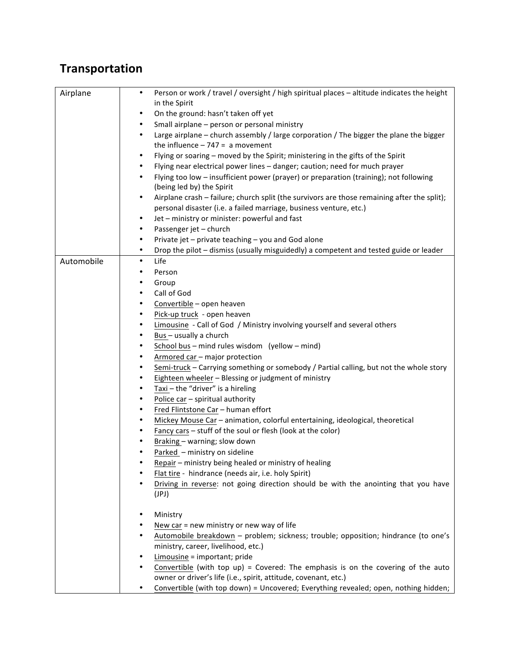## **Transportation**

| Airplane   | Person or work / travel / oversight / high spiritual places - altitude indicates the height<br>$\bullet$                                            |
|------------|-----------------------------------------------------------------------------------------------------------------------------------------------------|
|            | in the Spirit                                                                                                                                       |
|            | On the ground: hasn't taken off yet<br>$\bullet$                                                                                                    |
|            | Small airplane - person or personal ministry<br>٠                                                                                                   |
|            | Large airplane - church assembly / large corporation / The bigger the plane the bigger<br>$\bullet$<br>the influence $-747 = a$ movement            |
|            | Flying or soaring - moved by the Spirit; ministering in the gifts of the Spirit<br>٠                                                                |
|            | Flying near electrical power lines - danger; caution; need for much prayer                                                                          |
|            | Flying too low - insufficient power (prayer) or preparation (training); not following<br>$\bullet$                                                  |
|            | (being led by) the Spirit                                                                                                                           |
|            | Airplane crash - failure; church split (the survivors are those remaining after the split);<br>٠                                                    |
|            | personal disaster (i.e. a failed marriage, business venture, etc.)                                                                                  |
|            | Jet - ministry or minister: powerful and fast<br>$\bullet$                                                                                          |
|            | Passenger jet - church<br>٠                                                                                                                         |
|            | Private jet - private teaching - you and God alone<br>$\bullet$                                                                                     |
|            | Drop the pilot - dismiss (usually misguidedly) a competent and tested guide or leader<br>$\bullet$                                                  |
| Automobile | Life<br>$\bullet$                                                                                                                                   |
|            | Person                                                                                                                                              |
|            | Group                                                                                                                                               |
|            | Call of God<br>٠                                                                                                                                    |
|            | Convertible - open heaven                                                                                                                           |
|            | Pick-up truck - open heaven<br>٠                                                                                                                    |
|            | Limousine - Call of God / Ministry involving yourself and several others                                                                            |
|            | Bus - usually a church                                                                                                                              |
|            | School bus - mind rules wisdom (yellow - mind)                                                                                                      |
|            | Armored car - major protection<br>٠                                                                                                                 |
|            | Semi-truck - Carrying something or somebody / Partial calling, but not the whole story<br>٠                                                         |
|            | Eighteen wheeler - Blessing or judgment of ministry                                                                                                 |
|            | Taxi - the "driver" is a hireling                                                                                                                   |
|            | Police car - spiritual authority                                                                                                                    |
|            | Fred Flintstone Car - human effort                                                                                                                  |
|            | Mickey Mouse Car - animation, colorful entertaining, ideological, theoretical                                                                       |
|            | Fancy cars - stuff of the soul or flesh (look at the color)                                                                                         |
|            | Braking - warning; slow down                                                                                                                        |
|            | Parked - ministry on sideline                                                                                                                       |
|            | Repair - ministry being healed or ministry of healing                                                                                               |
|            | Flat tire - hindrance (needs air, i.e. holy Spirit)                                                                                                 |
|            | Driving in reverse: not going direction should be with the anointing that you have                                                                  |
|            | (JPI)                                                                                                                                               |
|            | Ministry                                                                                                                                            |
|            | New car = new ministry or new way of life                                                                                                           |
|            | Automobile breakdown - problem; sickness; trouble; opposition; hindrance (to one's                                                                  |
|            | ministry, career, livelihood, etc.)                                                                                                                 |
|            | Limousine = important; pride                                                                                                                        |
|            | Convertible (with top up) = Covered: The emphasis is on the covering of the auto<br>owner or driver's life (i.e., spirit, attitude, covenant, etc.) |
|            | Convertible (with top down) = Uncovered; Everything revealed; open, nothing hidden;                                                                 |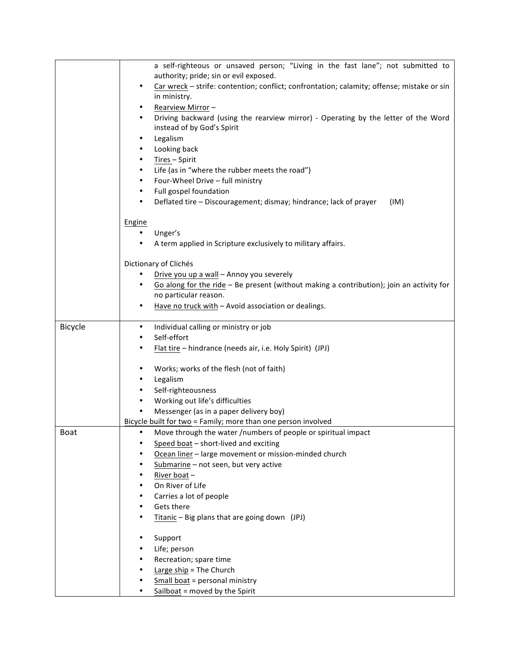|             | a self-righteous or unsaved person; "Living in the fast lane"; not submitted to                         |
|-------------|---------------------------------------------------------------------------------------------------------|
|             | authority; pride; sin or evil exposed.                                                                  |
|             | Car wreck - strife: contention; conflict; confrontation; calamity; offense; mistake or sin<br>$\bullet$ |
|             | in ministry.                                                                                            |
|             | Rearview Mirror-                                                                                        |
|             | Driving backward (using the rearview mirror) - Operating by the letter of the Word<br>$\bullet$         |
|             | instead of by God's Spirit                                                                              |
|             | Legalism<br>٠                                                                                           |
|             | Looking back<br>٠                                                                                       |
|             | Tires - Spirit<br>٠                                                                                     |
|             | Life (as in "where the rubber meets the road")<br>$\bullet$                                             |
|             | Four-Wheel Drive - full ministry<br>٠                                                                   |
|             | Full gospel foundation<br>٠                                                                             |
|             | Deflated tire - Discouragement; dismay; hindrance; lack of prayer<br>(IM)<br>٠                          |
|             |                                                                                                         |
|             | Engine                                                                                                  |
|             | Unger's                                                                                                 |
|             | A term applied in Scripture exclusively to military affairs.                                            |
|             |                                                                                                         |
|             | Dictionary of Clichés                                                                                   |
|             | Drive you up a wall - Annoy you severely                                                                |
|             | Go along for the ride - Be present (without making a contribution); join an activity for                |
|             | no particular reason.                                                                                   |
|             | Have no truck with - Avoid association or dealings.<br>$\bullet$                                        |
|             |                                                                                                         |
| Bicycle     | Individual calling or ministry or job<br>٠                                                              |
|             | Self-effort<br>$\bullet$                                                                                |
|             | Flat tire - hindrance (needs air, i.e. Holy Spirit) (JPJ)                                               |
|             |                                                                                                         |
|             | Works; works of the flesh (not of faith)<br>٠                                                           |
|             | Legalism<br>٠                                                                                           |
|             | Self-righteousness                                                                                      |
|             |                                                                                                         |
|             | Working out life's difficulties<br>٠                                                                    |
|             | Messenger (as in a paper delivery boy)                                                                  |
|             | Bicycle built for two = Family; more than one person involved                                           |
| <b>Boat</b> | Move through the water /numbers of people or spiritual impact                                           |
|             | Speed boat - short-lived and exciting                                                                   |
|             | Ocean liner - large movement or mission-minded church                                                   |
|             | Submarine - not seen, but very active<br>٠                                                              |
|             | River boat-<br>٠                                                                                        |
|             | On River of Life<br>$\bullet$                                                                           |
|             | Carries a lot of people<br>٠                                                                            |
|             | Gets there<br>$\bullet$                                                                                 |
|             | Titanic - Big plans that are going down (JPJ)                                                           |
|             |                                                                                                         |
|             | Support<br>٠                                                                                            |
|             | Life; person                                                                                            |
|             | Recreation; spare time                                                                                  |
|             | Large ship = The Church                                                                                 |
|             | Small boat = personal ministry                                                                          |
|             | Sailboat = moved by the Spirit<br>$\bullet$                                                             |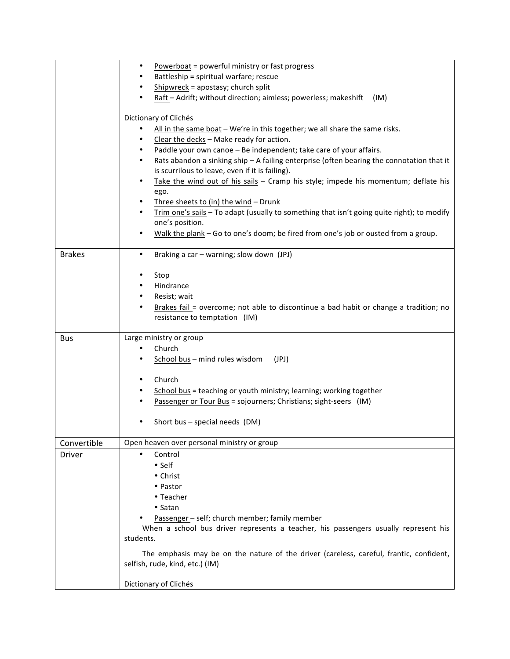|               | Powerboat = powerful ministry or fast progress                                                                                                                |
|---------------|---------------------------------------------------------------------------------------------------------------------------------------------------------------|
|               | Battleship = spiritual warfare; rescue                                                                                                                        |
|               | $Shipwreck = apostasy; church split$                                                                                                                          |
|               | Raft - Adrift; without direction; aimless; powerless; makeshift<br>(IM)                                                                                       |
|               | Dictionary of Clichés<br>All in the same boat - We're in this together; we all share the same risks.<br>Clear the decks - Make ready for action.<br>$\bullet$ |
|               | Paddle your own canoe - Be independent; take care of your affairs.<br>$\bullet$                                                                               |
|               | Rats abandon a sinking ship - A failing enterprise (often bearing the connotation that it<br>$\bullet$<br>is scurrilous to leave, even if it is failing).     |
|               | Take the wind out of his sails - Cramp his style; impede his momentum; deflate his<br>٠<br>ego.                                                               |
|               | Three sheets to (in) the wind - Drunk<br>٠                                                                                                                    |
|               | Trim one's sails - To adapt (usually to something that isn't going quite right); to modify<br>one's position.                                                 |
|               | Walk the plank - Go to one's doom; be fired from one's job or ousted from a group.                                                                            |
| <b>Brakes</b> | Braking a car - warning; slow down (JPJ)<br>$\bullet$                                                                                                         |
|               | Stop                                                                                                                                                          |
|               | Hindrance                                                                                                                                                     |
|               | Resist; wait                                                                                                                                                  |
|               | Brakes fail = overcome; not able to discontinue a bad habit or change a tradition; no                                                                         |
|               | resistance to temptation (IM)                                                                                                                                 |
|               |                                                                                                                                                               |
| Bus           | Large ministry or group                                                                                                                                       |
|               | Church<br>$\bullet$                                                                                                                                           |
|               | School bus - mind rules wisdom<br>(JPJ)<br>$\bullet$                                                                                                          |
|               |                                                                                                                                                               |
|               | Church                                                                                                                                                        |
|               | School bus = teaching or youth ministry; learning; working together<br>٠                                                                                      |
|               | Passenger or Tour Bus = sojourners; Christians; sight-seers (IM)                                                                                              |
|               | Short bus - special needs (DM)                                                                                                                                |
| Convertible   | Open heaven over personal ministry or group                                                                                                                   |
| Driver        | Control                                                                                                                                                       |
|               | • Self                                                                                                                                                        |
|               | • Christ                                                                                                                                                      |
|               | • Pastor                                                                                                                                                      |
|               | • Teacher                                                                                                                                                     |
|               | • Satan                                                                                                                                                       |
|               | Passenger - self; church member; family member                                                                                                                |
|               | When a school bus driver represents a teacher, his passengers usually represent his                                                                           |
|               | students.                                                                                                                                                     |
|               | The emphasis may be on the nature of the driver (careless, careful, frantic, confident,                                                                       |
|               | selfish, rude, kind, etc.) (IM)                                                                                                                               |
|               | Dictionary of Clichés                                                                                                                                         |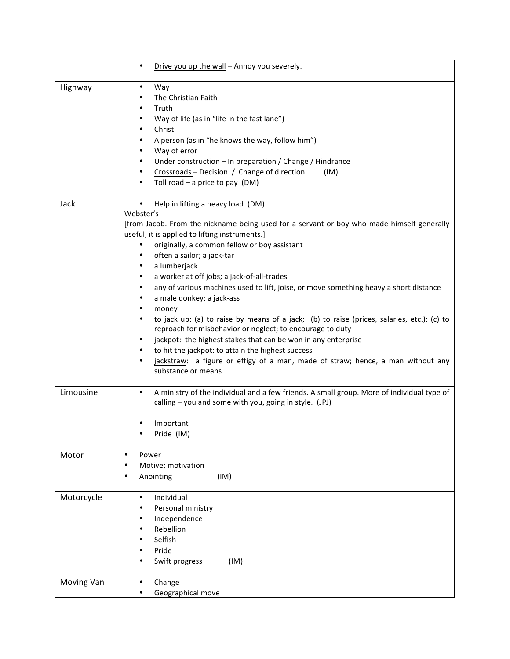|            | Drive you up the wall - Annoy you severely.<br>$\bullet$                                                                                                                                                                                                                                                                                                                                                                                                                                                                                                                                                                                                                                                                                                                                                                                                                                                                |
|------------|-------------------------------------------------------------------------------------------------------------------------------------------------------------------------------------------------------------------------------------------------------------------------------------------------------------------------------------------------------------------------------------------------------------------------------------------------------------------------------------------------------------------------------------------------------------------------------------------------------------------------------------------------------------------------------------------------------------------------------------------------------------------------------------------------------------------------------------------------------------------------------------------------------------------------|
| Highway    | $\bullet$<br>Way<br>The Christian Faith<br>٠<br>Truth<br>$\bullet$<br>Way of life (as in "life in the fast lane")<br>٠<br>Christ<br>$\bullet$<br>A person (as in "he knows the way, follow him")<br>٠<br>Way of error<br>٠<br>Under construction - In preparation / Change / Hindrance<br>٠<br>Crossroads - Decision / Change of direction<br>(IM)<br>٠<br>Toll road $-$ a price to pay (DM)<br>$\bullet$                                                                                                                                                                                                                                                                                                                                                                                                                                                                                                               |
| Jack       | Help in lifting a heavy load (DM)<br>٠<br>Webster's<br>[from Jacob. From the nickname being used for a servant or boy who made himself generally<br>useful, it is applied to lifting instruments.]<br>originally, a common fellow or boy assistant<br>often a sailor; a jack-tar<br>a lumberjack<br>٠<br>a worker at off jobs; a jack-of-all-trades<br>٠<br>any of various machines used to lift, joise, or move something heavy a short distance<br>$\bullet$<br>a male donkey; a jack-ass<br>٠<br>money<br>٠<br>to jack up: (a) to raise by means of a jack; (b) to raise (prices, salaries, etc.); (c) to<br>٠<br>reproach for misbehavior or neglect; to encourage to duty<br>jackpot: the highest stakes that can be won in any enterprise<br>٠<br>to hit the jackpot: to attain the highest success<br>jackstraw: a figure or effigy of a man, made of straw; hence, a man without any<br>٠<br>substance or means |
| Limousine  | A ministry of the individual and a few friends. A small group. More of individual type of<br>$\bullet$<br>calling - you and some with you, going in style. (JPJ)<br>Important<br>Pride (IM)                                                                                                                                                                                                                                                                                                                                                                                                                                                                                                                                                                                                                                                                                                                             |
| Motor      | $\bullet$<br>Power<br>Motive; motivation<br>$\bullet$<br>Anointing<br>(IM)<br>٠                                                                                                                                                                                                                                                                                                                                                                                                                                                                                                                                                                                                                                                                                                                                                                                                                                         |
| Motorcycle | Individual<br>$\bullet$<br>Personal ministry<br>Independence<br>Rebellion<br>Selfish<br>Pride<br>Swift progress<br>(IM)                                                                                                                                                                                                                                                                                                                                                                                                                                                                                                                                                                                                                                                                                                                                                                                                 |
| Moving Van | Change<br>$\bullet$<br>Geographical move                                                                                                                                                                                                                                                                                                                                                                                                                                                                                                                                                                                                                                                                                                                                                                                                                                                                                |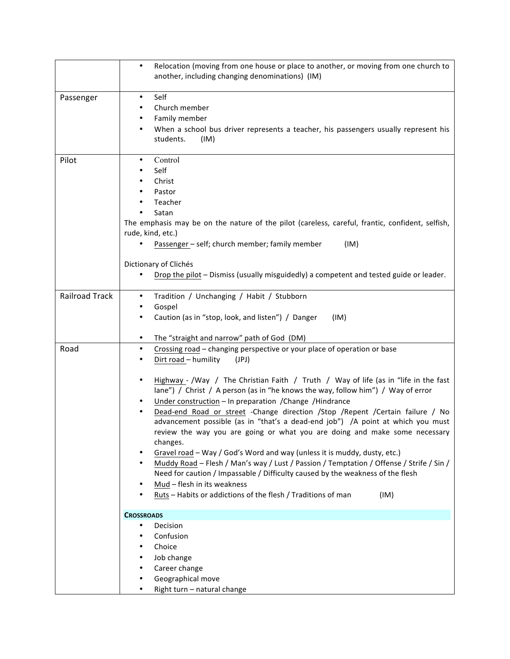|                       | Relocation (moving from one house or place to another, or moving from one church to<br>$\bullet$<br>another, including changing denominations) (IM)                                                                                                                                                                                                                                                                                                                                                                                                                                                                                                                                                                                                                                                                                                                                                                                                                                                                            |
|-----------------------|--------------------------------------------------------------------------------------------------------------------------------------------------------------------------------------------------------------------------------------------------------------------------------------------------------------------------------------------------------------------------------------------------------------------------------------------------------------------------------------------------------------------------------------------------------------------------------------------------------------------------------------------------------------------------------------------------------------------------------------------------------------------------------------------------------------------------------------------------------------------------------------------------------------------------------------------------------------------------------------------------------------------------------|
| Passenger             | Self<br>$\bullet$<br>Church member<br>٠<br>Family member<br>٠<br>When a school bus driver represents a teacher, his passengers usually represent his<br>٠<br>students.<br>(IM)                                                                                                                                                                                                                                                                                                                                                                                                                                                                                                                                                                                                                                                                                                                                                                                                                                                 |
| Pilot                 | Control<br>$\bullet$<br>Self<br>Christ<br>Pastor<br>Teacher<br>Satan<br>The emphasis may be on the nature of the pilot (careless, careful, frantic, confident, selfish,<br>rude, kind, etc.)<br>Passenger - self; church member; family member<br>(IM)<br>Dictionary of Clichés<br>Drop the pilot - Dismiss (usually misguidedly) a competent and tested guide or leader.                                                                                                                                                                                                                                                                                                                                                                                                                                                                                                                                                                                                                                                      |
| <b>Railroad Track</b> | Tradition / Unchanging / Habit / Stubborn<br>$\bullet$<br>Gospel<br>٠<br>Caution (as in "stop, look, and listen") / Danger<br>$\bullet$<br>(IM)<br>The "straight and narrow" path of God (DM)<br>$\bullet$                                                                                                                                                                                                                                                                                                                                                                                                                                                                                                                                                                                                                                                                                                                                                                                                                     |
| Road                  | Crossing road – changing perspective or your place of operation or base<br>٠<br>Dirt road - humility<br>(JPJ)<br>Highway - /Way / The Christian Faith / Truth / Way of life (as in "life in the fast<br>$\bullet$<br>lane") / Christ / A person (as in "he knows the way, follow him") / Way of error<br>Under construction - In preparation / Change / Hindrance<br>Dead-end Road or street -Change direction /Stop /Repent /Certain failure / No<br>$\bullet$<br>advancement possible (as in "that's a dead-end job") /A point at which you must<br>review the way you are going or what you are doing and make some necessary<br>changes.<br>Gravel road - Way / God's Word and way (unless it is muddy, dusty, etc.)<br>Muddy Road - Flesh / Man's way / Lust / Passion / Temptation / Offense / Strife / Sin /<br>$\bullet$<br>Need for caution / Impassable / Difficulty caused by the weakness of the flesh<br>Mud - flesh in its weakness<br>٠<br>Ruts - Habits or addictions of the flesh / Traditions of man<br>(IM) |
|                       | <b>CROSSROADS</b><br>Decision<br>$\bullet$<br>Confusion<br>Choice<br>٠<br>Job change<br>Career change<br>Geographical move<br>Right turn - natural change                                                                                                                                                                                                                                                                                                                                                                                                                                                                                                                                                                                                                                                                                                                                                                                                                                                                      |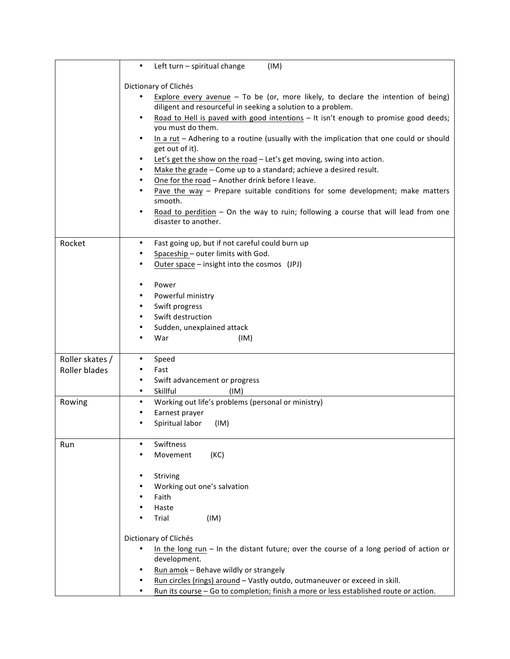|                                  | Left turn - spiritual change<br>(IM)<br>$\bullet$                                                                                                                                                                                                                                                                                                                                                                                                                                                                                                                                                                                                                                                                                                                                                                                           |
|----------------------------------|---------------------------------------------------------------------------------------------------------------------------------------------------------------------------------------------------------------------------------------------------------------------------------------------------------------------------------------------------------------------------------------------------------------------------------------------------------------------------------------------------------------------------------------------------------------------------------------------------------------------------------------------------------------------------------------------------------------------------------------------------------------------------------------------------------------------------------------------|
|                                  | Dictionary of Clichés<br>Explore every avenue $-$ To be (or, more likely, to declare the intention of being)<br>diligent and resourceful in seeking a solution to a problem.<br>Road to Hell is paved with good intentions - It isn't enough to promise good deeds;<br>you must do them.<br>In a rut - Adhering to a routine (usually with the implication that one could or should<br>get out of it).<br>Let's get the show on the road - Let's get moving, swing into action.<br>Make the grade - Come up to a standard; achieve a desired result.<br>٠<br>One for the road - Another drink before I leave.<br>$\bullet$<br>Pave the way $-$ Prepare suitable conditions for some development; make matters<br>smooth.<br>Road to perdition - On the way to ruin; following a course that will lead from one<br>٠<br>disaster to another. |
| Rocket                           | Fast going up, but if not careful could burn up<br>$\bullet$<br>Spaceship - outer limits with God.<br>Outer space - insight into the cosmos (JPJ)<br>Power<br>٠<br>Powerful ministry<br>Swift progress<br>$\bullet$<br>Swift destruction<br>Sudden, unexplained attack<br>٠<br>War<br>(IM)                                                                                                                                                                                                                                                                                                                                                                                                                                                                                                                                                  |
| Roller skates /<br>Roller blades | Speed<br>Fast                                                                                                                                                                                                                                                                                                                                                                                                                                                                                                                                                                                                                                                                                                                                                                                                                               |
|                                  | Swift advancement or progress<br>٠<br>Skillful<br>$\bullet$<br>(IM)                                                                                                                                                                                                                                                                                                                                                                                                                                                                                                                                                                                                                                                                                                                                                                         |
| Rowing                           | Working out life's problems (personal or ministry)<br>$\bullet$<br>Earnest prayer<br>Spiritual labor<br>(IM)                                                                                                                                                                                                                                                                                                                                                                                                                                                                                                                                                                                                                                                                                                                                |
| Run                              | Swiftness<br>(KC)<br>Movement                                                                                                                                                                                                                                                                                                                                                                                                                                                                                                                                                                                                                                                                                                                                                                                                               |
|                                  | Striving<br>Working out one's salvation<br>Faith<br>Haste<br>Trial<br>(IM)<br>Dictionary of Clichés<br>In the long run $-$ In the distant future; over the course of a long period of action or<br>development.<br>Run amok - Behave wildly or strangely<br>Run circles (rings) around - Vastly outdo, outmaneuver or exceed in skill.<br>Run its course - Go to completion; finish a more or less established route or action.                                                                                                                                                                                                                                                                                                                                                                                                             |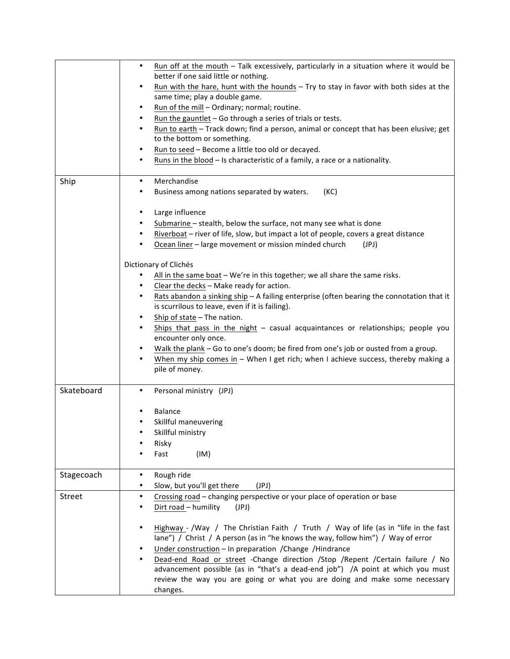|            | Run off at the mouth - Talk excessively, particularly in a situation where it would be<br>$\bullet$<br>better if one said little or nothing.<br>Run with the hare, hunt with the hounds - Try to stay in favor with both sides at the<br>٠<br>same time; play a double game.<br>Run of the mill - Ordinary; normal; routine.<br>٠<br>Run the gauntlet - Go through a series of trials or tests.<br>$\bullet$<br>Run to earth - Track down; find a person, animal or concept that has been elusive; get<br>$\bullet$<br>to the bottom or something.<br>Run to seed - Become a little too old or decayed.<br>٠<br>Runs in the blood - Is characteristic of a family, a race or a nationality.<br>٠                                                                                                                                                                                                                                                                                                                                                   |
|------------|----------------------------------------------------------------------------------------------------------------------------------------------------------------------------------------------------------------------------------------------------------------------------------------------------------------------------------------------------------------------------------------------------------------------------------------------------------------------------------------------------------------------------------------------------------------------------------------------------------------------------------------------------------------------------------------------------------------------------------------------------------------------------------------------------------------------------------------------------------------------------------------------------------------------------------------------------------------------------------------------------------------------------------------------------|
| Ship       | Merchandise<br>$\bullet$<br>Business among nations separated by waters.<br>(KC)<br>Large influence<br>$\bullet$<br>Submarine - stealth, below the surface, not many see what is done<br>Riverboat - river of life, slow, but impact a lot of people, covers a great distance<br>Ocean liner - large movement or mission minded church<br>(JPJ)<br>Dictionary of Clichés<br>All in the same boat - We're in this together; we all share the same risks.<br>Clear the decks - Make ready for action.<br>$\bullet$<br>Rats abandon a sinking ship - A failing enterprise (often bearing the connotation that it<br>is scurrilous to leave, even if it is failing).<br>Ship of state - The nation.<br>$\bullet$<br>Ships that pass in the night $-$ casual acquaintances or relationships; people you<br>$\bullet$<br>encounter only once.<br>Walk the plank - Go to one's doom; be fired from one's job or ousted from a group.<br>When my ship comes in $-$ When I get rich; when I achieve success, thereby making a<br>$\bullet$<br>pile of money. |
| Skateboard | Personal ministry (JPJ)<br>$\bullet$<br><b>Balance</b><br>Skillful maneuvering<br>Skillful ministry<br>Risky<br>Fast<br>(IM)                                                                                                                                                                                                                                                                                                                                                                                                                                                                                                                                                                                                                                                                                                                                                                                                                                                                                                                       |
| Stagecoach | Rough ride<br>$\bullet$<br>Slow, but you'll get there<br>(JPI)<br>$\bullet$                                                                                                                                                                                                                                                                                                                                                                                                                                                                                                                                                                                                                                                                                                                                                                                                                                                                                                                                                                        |
| Street     | Crossing road - changing perspective or your place of operation or base<br>$\bullet$<br>Dirt road - humility<br>(JPI)<br>Highway - /Way / The Christian Faith / Truth / Way of life (as in "life in the fast<br>٠<br>lane") / Christ / A person (as in "he knows the way, follow him") / Way of error<br>Under construction - In preparation / Change / Hindrance<br>Dead-end Road or street -Change direction /Stop /Repent /Certain failure / No<br>advancement possible (as in "that's a dead-end job") /A point at which you must<br>review the way you are going or what you are doing and make some necessary<br>changes.                                                                                                                                                                                                                                                                                                                                                                                                                    |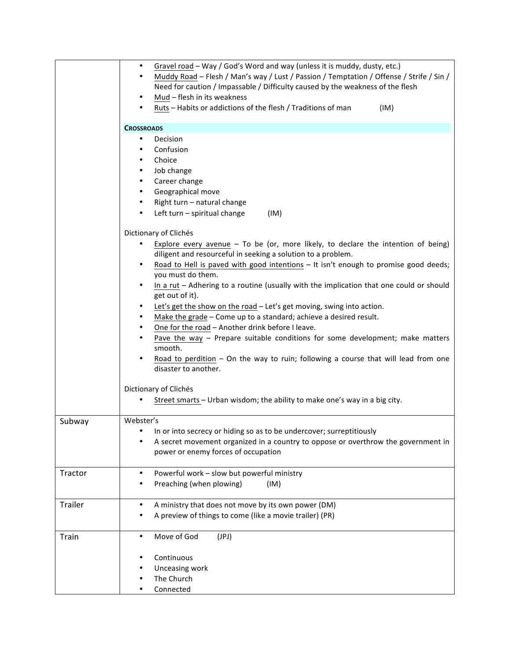|         | Gravel road - Way / God's Word and way (unless it is muddy, dusty, etc.)<br>$\bullet$<br>Muddy Road - Flesh / Man's way / Lust / Passion / Temptation / Offense / Strife / Sin /<br>$\bullet$<br>Need for caution / Impassable / Difficulty caused by the weakness of the flesh<br>Mud - flesh in its weakness<br>٠<br>Ruts - Habits or addictions of the flesh / Traditions of man<br>(IM)                                                                                                                                                                                                                                                                                                                                                                                                                                                                                                                                                                |
|---------|------------------------------------------------------------------------------------------------------------------------------------------------------------------------------------------------------------------------------------------------------------------------------------------------------------------------------------------------------------------------------------------------------------------------------------------------------------------------------------------------------------------------------------------------------------------------------------------------------------------------------------------------------------------------------------------------------------------------------------------------------------------------------------------------------------------------------------------------------------------------------------------------------------------------------------------------------------|
|         | <b>CROSSROADS</b>                                                                                                                                                                                                                                                                                                                                                                                                                                                                                                                                                                                                                                                                                                                                                                                                                                                                                                                                          |
|         | Decision<br>$\bullet$<br>Confusion<br>$\bullet$<br>Choice<br>$\bullet$<br>Job change<br>٠<br>Career change<br>$\bullet$<br>Geographical move<br>٠<br>Right turn - natural change<br>٠                                                                                                                                                                                                                                                                                                                                                                                                                                                                                                                                                                                                                                                                                                                                                                      |
|         | Left turn - spiritual change<br>(IM)<br>٠                                                                                                                                                                                                                                                                                                                                                                                                                                                                                                                                                                                                                                                                                                                                                                                                                                                                                                                  |
|         | Dictionary of Clichés<br>Explore every avenue $-$ To be (or, more likely, to declare the intention of being)<br>diligent and resourceful in seeking a solution to a problem.<br>Road to Hell is paved with good intentions - It isn't enough to promise good deeds;<br>$\bullet$<br>you must do them.<br>In a rut - Adhering to a routine (usually with the implication that one could or should<br>get out of it).<br>Let's get the show on the road - Let's get moving, swing into action.<br>Make the grade - Come up to a standard; achieve a desired result.<br>٠<br>One for the road - Another drink before I leave.<br>$\bullet$<br>Pave the way $-$ Prepare suitable conditions for some development; make matters<br>smooth.<br>Road to perdition - On the way to ruin; following a course that will lead from one<br>disaster to another.<br>Dictionary of Clichés<br>Street smarts - Urban wisdom; the ability to make one's way in a big city. |
| Subway  | Webster's<br>In or into secrecy or hiding so as to be undercover; surreptitiously<br>A secret movement organized in a country to oppose or overthrow the government in<br>power or enemy forces of occupation                                                                                                                                                                                                                                                                                                                                                                                                                                                                                                                                                                                                                                                                                                                                              |
| Tractor | Powerful work - slow but powerful ministry<br>٠<br>Preaching (when plowing)<br>(IM)                                                                                                                                                                                                                                                                                                                                                                                                                                                                                                                                                                                                                                                                                                                                                                                                                                                                        |
| Trailer | A ministry that does not move by its own power (DM)<br>$\bullet$<br>A preview of things to come (like a movie trailer) (PR)                                                                                                                                                                                                                                                                                                                                                                                                                                                                                                                                                                                                                                                                                                                                                                                                                                |
| Train   | Move of God<br>(JPI)<br>$\bullet$<br>Continuous<br>Unceasing work<br>The Church                                                                                                                                                                                                                                                                                                                                                                                                                                                                                                                                                                                                                                                                                                                                                                                                                                                                            |
|         | Connected                                                                                                                                                                                                                                                                                                                                                                                                                                                                                                                                                                                                                                                                                                                                                                                                                                                                                                                                                  |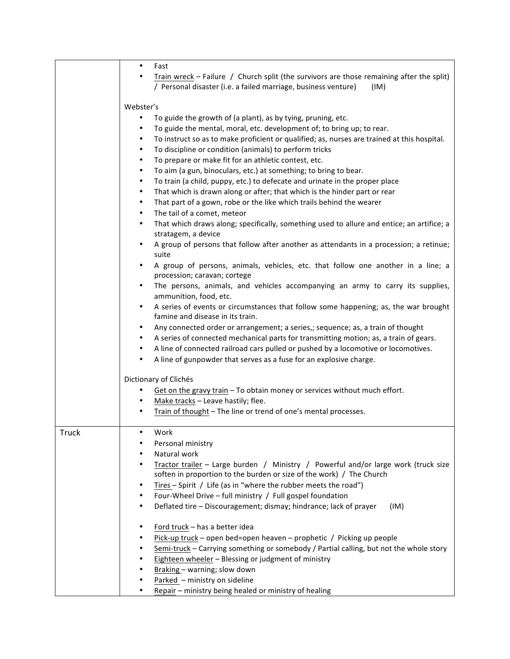|              | $\bullet$<br>Fast<br>Train wreck - Failure / Church split (the survivors are those remaining after the split)<br>٠                   |
|--------------|--------------------------------------------------------------------------------------------------------------------------------------|
|              | / Personal disaster (i.e. a failed marriage, business venture)<br>(IM)                                                               |
|              | Webster's                                                                                                                            |
|              | To guide the growth of (a plant), as by tying, pruning, etc.<br>$\bullet$                                                            |
|              | To guide the mental, moral, etc. development of; to bring up; to rear.<br>٠                                                          |
|              | To instruct so as to make proficient or qualified; as, nurses are trained at this hospital.<br>$\bullet$                             |
|              | To discipline or condition (animals) to perform tricks<br>$\bullet$                                                                  |
|              | To prepare or make fit for an athletic contest, etc.<br>$\bullet$                                                                    |
|              | To aim (a gun, binoculars, etc.) at something; to bring to bear.<br>$\bullet$                                                        |
|              | To train (a child, puppy, etc.) to defecate and urinate in the proper place<br>$\bullet$                                             |
|              | That which is drawn along or after; that which is the hinder part or rear<br>$\bullet$                                               |
|              | That part of a gown, robe or the like which trails behind the wearer<br>$\bullet$                                                    |
|              | The tail of a comet, meteor<br>$\bullet$                                                                                             |
|              | That which draws along; specifically, something used to allure and entice; an artifice; a<br>$\bullet$<br>stratagem, a device        |
|              | A group of persons that follow after another as attendants in a procession; a retinue;<br>$\bullet$<br>suite                         |
|              | A group of persons, animals, vehicles, etc. that follow one another in a line; a<br>$\bullet$<br>procession; caravan; cortege        |
|              | The persons, animals, and vehicles accompanying an army to carry its supplies,<br>$\bullet$<br>ammunition, food, etc.                |
|              | A series of events or circumstances that follow some happening; as, the war brought<br>$\bullet$<br>famine and disease in its train. |
|              | Any connected order or arrangement; a series,; sequence; as, a train of thought<br>٠                                                 |
|              | A series of connected mechanical parts for transmitting motion; as, a train of gears.<br>٠                                           |
|              | A line of connected railroad cars pulled or pushed by a locomotive or locomotives.<br>$\bullet$                                      |
|              | A line of gunpowder that serves as a fuse for an explosive charge.<br>٠                                                              |
|              | Dictionary of Clichés                                                                                                                |
|              | Get on the gravy train - To obtain money or services without much effort.<br>٠                                                       |
|              | Make tracks - Leave hastily; flee.<br>٠                                                                                              |
|              | Train of thought - The line or trend of one's mental processes.<br>٠                                                                 |
| <b>Truck</b> | Work                                                                                                                                 |
|              | Personal ministry<br>$\bullet$                                                                                                       |
|              | Natural work<br>Tractor trailer - Large burden / Ministry / Powerful and/or large work (truck size<br>٠                              |
|              | soften in proportion to the burden or size of the work) / The Church                                                                 |
|              | Tires - Spirit / Life (as in "where the rubber meets the road")<br>$\bullet$                                                         |
|              | Four-Wheel Drive - full ministry / Full gospel foundation<br>$\bullet$                                                               |
|              | Deflated tire - Discouragement; dismay; hindrance; lack of prayer<br>(IM)<br>$\bullet$                                               |
|              |                                                                                                                                      |
|              | Ford truck - has a better idea<br>٠                                                                                                  |
|              | Pick-up truck - open bed=open heaven - prophetic / Picking up people<br>٠                                                            |
|              | Semi-truck - Carrying something or somebody / Partial calling, but not the whole story<br>٠                                          |
|              | Eighteen wheeler - Blessing or judgment of ministry<br>٠                                                                             |
|              | Braking - warning; slow down<br>٠                                                                                                    |
|              | Parked - ministry on sideline                                                                                                        |
|              | Repair - ministry being healed or ministry of healing                                                                                |